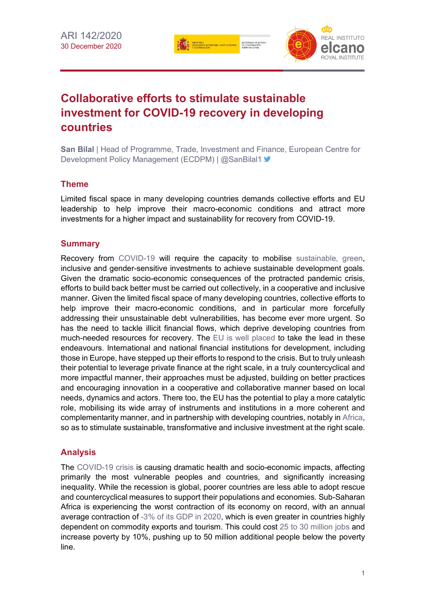SECRETARÍA DE EST.<br>DE COOPERACIÓN



# **Collaborative efforts to stimulate sustainable investment for COVID-19 recovery in developing countries**

**San Bilal** | Head of Programme, Trade, Investment and Finance, European Centre for Development Policy Management (ECDPM) | @SanBilal1 >

## **Theme**

Limited fiscal space in many developing countries demands collective efforts and EU leadership to help improve their macro-economic conditions and attract more investments for a higher impact and sustainability for recovery from COVID-19.

## **Summary**

Recovery from [COVID-19](https://especiales.realinstitutoelcano.org/coronavirus/?lang=en) will require the capacity to mobilise [sustainable, green,](https://blog.realinstitutoelcano.org/en/does-the-eu-really-promote-the-good-governance-of-energy-resources/) inclusive and gender-sensitive investments to achieve sustainable development goals. Given the dramatic socio-economic consequences of the protracted pandemic crisis, efforts to build back better must be carried out collectively, in a cooperative and inclusive manner. Given the limited fiscal space of many developing countries, collective efforts to help improve their macro-economic conditions, and in particular more forcefully addressing their unsustainable debt vulnerabilities, has become ever more urgent. So has the need to tackle illicit financial flows, which deprive developing countries from much-needed resources for recovery. The [EU is well placed](https://blog.realinstitutoelcano.org/en/the-geopolitical-implications-of-the-covid-19-pandemic-and-the-role-of-the-eu-in-the-world/) to take the lead in these endeavours. International and national financial institutions for development, including those in Europe, have stepped up their efforts to respond to the crisis. But to truly unleash their potential to leverage private finance at the right scale, in a truly countercyclical and more impactful manner, their approaches must be adjusted, building on better practices and encouraging innovation in a cooperative and collaborative manner based on local needs, dynamics and actors. There too, the EU has the potential to play a more catalytic role, mobilising its wide array of instruments and institutions in a more coherent and complementarity manner, and in partnership with developing countries, notably in [Africa,](http://www.realinstitutoelcano.org/wps/portal/rielcano_en/research-topics/subsaharan-africa) so as to stimulate sustainable, transformative and inclusive investment at the right scale.

## **Analysis**

The [COVID-19 crisis](https://especiales.realinstitutoelcano.org/coronavirus/?lang=en) is causing dramatic health and socio-economic impacts, affecting primarily the most vulnerable peoples and countries, and significantly increasing inequality. While the recession is global, poorer countries are less able to adopt rescue and countercyclical measures to support their populations and economies. Sub-Saharan Africa is experiencing the worst contraction of its economy on record, with an annual average contraction of [-3% of its GDP in 2020,](https://www.imf.org/en/Publications/REO/SSA/Issues/2020/10/22/regional-economic-outlook-sub-saharan-africa) which is even greater in countries highly dependent on commodity exports and tourism. This could cost [25 to 30 million jobs](https://www.afdb.org/en/documents/african-economic-outlook-2020-supplement) and increase poverty by 10%, pushing up to 50 million additional people below the poverty line.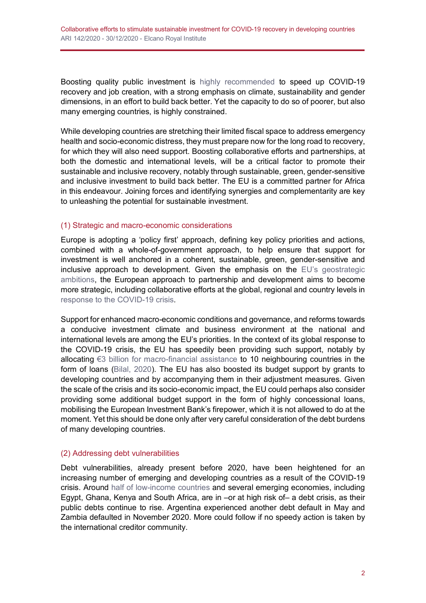Boosting quality public investment is [highly recommended](https://www.imf.org/en/Publications/FM/Issues/2020/09/30/october-2020-fiscal-monitor) to speed up COVID-19 recovery and job creation, with a strong emphasis on climate, sustainability and gender dimensions, in an effort to build back better. Yet the capacity to do so of poorer, but also many emerging countries, is highly constrained.

While developing countries are stretching their limited fiscal space to address emergency health and socio-economic distress, they must prepare now for the long road to recovery, for which they will also need support. Boosting collaborative efforts and partnerships, at both the domestic and international levels, will be a critical factor to promote their sustainable and inclusive recovery, notably through sustainable, green, gender-sensitive and inclusive investment to build back better. The EU is a committed partner for Africa in this endeavour. Joining forces and identifying synergies and complementarity are key to unleashing the potential for sustainable investment.

## (1) Strategic and macro-economic considerations

Europe is adopting a 'policy first' approach, defining key policy priorities and actions, combined with a whole-of-government approach, to help ensure that support for investment is well anchored in a coherent, sustainable, green, gender-sensitive and inclusive approach to development. Given the emphasis on the [EU's geostrategic](https://ecdpm.org/publications/leading-together-reconciling-eu-strategic-autonomy-international-partnerships/)  [ambitions,](https://ecdpm.org/publications/leading-together-reconciling-eu-strategic-autonomy-international-partnerships/) the European approach to partnership and development aims to become more strategic, including collaborative efforts at the global, regional and country levels in [response to the COVID-19 crisis.](https://ecdpm.org/publications/challenge-scaling-up-european-union-global-response-covid-19/)

Support for enhanced macro-economic conditions and governance, and reforms towards a conducive investment climate and business environment at the national and international levels are among the EU's priorities. In the context of its global response to the COVID-19 crisis, the EU has speedily been providing such support, notably by allocating €3 billion for [macro-financial assistance](https://www.consilium.europa.eu/en/press/press-releases/2020/05/20/covid-19-council-adopts-3-billion-assistance-package-to-support-neighbouring-partners/) to 10 neighbouring countries in the form of loans [\(Bilal, 2020\)](https://ecdpm.org/publications/towards-eu-global-covid-19-response-2-0-boosting-smarter-finance/). The EU has also boosted its budget support by grants to developing countries and by accompanying them in their adjustment measures. Given the scale of the crisis and its socio-economic impact, the EU could perhaps also consider providing some additional budget support in the form of highly concessional loans, mobilising the European Investment Bank's firepower, which it is not allowed to do at the moment. Yet this should be done only after very careful consideration of the debt burdens of many developing countries.

#### (2) Addressing debt vulnerabilities

Debt vulnerabilities, already present before 2020, have been heightened for an increasing number of emerging and developing countries as a result of the COVID-19 crisis. Around half of low-income countries and several emerging economies, including Egypt, Ghana, Kenya and South Africa, are in –or at high risk of– a debt crisis, as their public debts continue to rise. Argentina experienced another debt default in May and Zambia defaulted in November 2020. More could follow if no speedy action is taken by the international creditor community.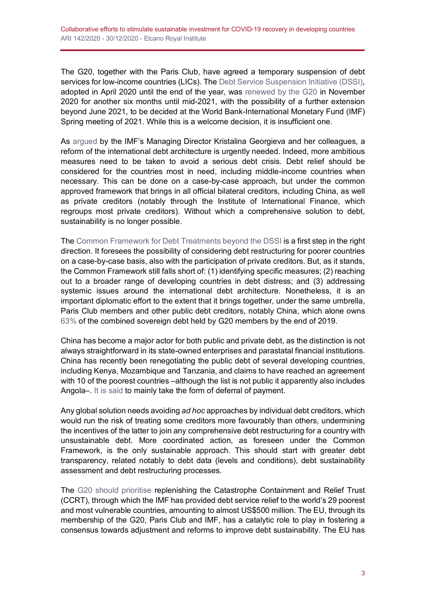The G20, together with the Paris Club, have agreed a temporary suspension of debt services for low-income countries (LICs). The [Debt Service Suspension Initiative \(DSSI\),](https://www.worldbank.org/en/topic/debt/brief/covid-19-debt-service-suspension-initiative) adopted in April 2020 until the end of the year, was [renewed by the G20](https://www.g20riyadhsummit.org/pressroom/?pressroom-category=declarations) in November 2020 for another six months until mid-2021, with the possibility of a further extension beyond June 2021, to be decided at the World Bank-International Monetary Fund (IMF) Spring meeting of 2021. While this is a welcome decision, it is insufficient one.

As [argued](https://blogs.imf.org/2020/10/01/reform-of-the-international-debt-architecture-is-urgently-needed/) by the IMF's Managing Director Kristalina Georgieva and her colleagues, a reform of the international debt architecture is urgently needed. Indeed, more ambitious measures need to be taken to avoid a serious debt crisis. Debt relief should be considered for the countries most in need, including middle-income countries when necessary. This can be done on a case-by-case approach, but under the common approved framework that brings in all official bilateral creditors, including China, as well as private creditors (notably through the Institute of International Finance, which regroups most private creditors). Without which a comprehensive solution to debt, sustainability is no longer possible.

Th[e Common Framework for Debt Treatments beyond the DSSI](https://www.google.com/url?sa=t&rct=j&q=&esrc=s&source=web&cd=&cad=rja&uact=8&ved=2ahUKEwjYjfyo-MztAhXG66QKHZTcCXEQFjAGegQIDBAC&url=https%3A%2F%2Fclubdeparis.org%2Fen%2Ffile%2F3380%2Fdownload%3Ftoken%3DM3y76DWX&usg=AOvVaw2-6XINKCKsadIQQJ8wSmAB) is a first step in the right direction. It foresees the possibility of considering debt restructuring for poorer countries on a case-by-case basis, also with the participation of private creditors. But, as it stands, the Common Framework still falls short of: (1) identifying specific measures; (2) reaching out to a broader range of developing countries in debt distress; and (3) addressing systemic issues around the international debt architecture. Nonetheless, it is an important diplomatic effort to the extent that it brings together, under the same umbrella, Paris Club members and other public debt creditors, notably China, which alone owns [63%](https://openknowledge.worldbank.org/handle/10986/34588) of the combined sovereign debt held by G20 members by the end of 2019.

China has become a major actor for both public and private debt, as the distinction is not always straightforward in its state-owned enterprises and parastatal financial institutions. China has recently been renegotiating the public debt of several developing countries, including Kenya, Mozambique and Tanzania, and claims to have reached an agreement with 10 of the poorest countries –although the list is not public it apparently also includes Angola–. [It is said](https://rhg.com/wp-content/uploads/2020/10/RHG_SeekingRelief_8Oct2020_Final.pdf) to mainly take the form of deferral of payment.

Any global solution needs avoiding *ad hoc* approaches by individual debt creditors, which would run the risk of treating some creditors more favourably than others, undermining the incentives of the latter to join any comprehensive debt restructuring for a country with unsustainable debt. More coordinated action, as foreseen under the Common Framework, is the only sustainable approach. This should start with greater debt transparency, related notably to debt data (levels and conditions), debt sustainability assessment and debt restructuring processes.

The [G20 should prioritise](https://blog.realinstitutoelcano.org/en/g20-vacuity-and-hope/) replenishing the Catastrophe Containment and Relief Trust (CCRT), through which the IMF has provided debt service relief to the world's 29 poorest and most vulnerable countries, amounting to almost US\$500 million. The EU, through its membership of the G20, Paris Club and IMF, has a catalytic role to play in fostering a consensus towards adjustment and reforms to improve debt sustainability. The EU has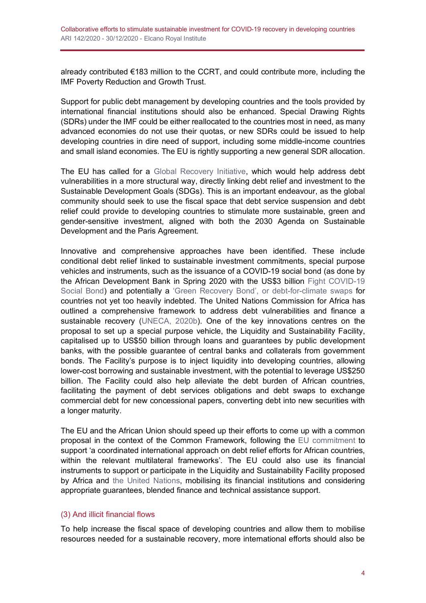already contributed €183 million to the CCRT, and could contribute more, including the IMF Poverty Reduction and Growth Trust.

Support for public debt management by developing countries and the tools provided by international financial institutions should also be enhanced. Special Drawing Rights (SDRs) under the IMF could be either reallocated to the countries most in need, as many advanced economies do not use their quotas, or new SDRs could be issued to help developing countries in dire need of support, including some middle-income countries and small island economies. The EU is rightly supporting a new general SDR allocation.

The EU has called for a [Global Recovery Initiative,](https://ec.europa.eu/commission/presscorner/detail/en/SPEECH_20_963) which would help address debt vulnerabilities in a more structural way, directly linking debt relief and investment to the Sustainable Development Goals (SDGs). This is an important endeavour, as the global community should seek to use the fiscal space that debt service suspension and debt relief could provide to developing countries to stimulate more sustainable, green and gender-sensitive investment, aligned with both the 2030 Agenda on Sustainable Development and the Paris Agreement.

Innovative and comprehensive approaches have been identified. These include conditional debt relief linked to sustainable investment commitments, special purpose vehicles and instruments, such as the issuance of a COVID-19 social bond (as done by the African Development Bank in Spring 2020 with the US\$3 billion [Fight COVID-19](https://www.afdb.org/en/news-and-events/press-releases/african-development-bank-wins-global-award-covid-19-bond-issue-38064)  [Social Bond\)](https://www.afdb.org/en/news-and-events/press-releases/african-development-bank-wins-global-award-covid-19-bond-issue-38064) and potentially a 'Green Recovery Bond', [or debt-for-climate swaps](http://www.bu.edu/gdp/files/2020/11/Debt-Relief-for-Green-Inclusive-Recovery-Report.pdf) for countries not yet too heavily indebted. The United Nations Commission for Africa has outlined a comprehensive framework to address debt vulnerabilities and finance a sustainable recovery [\(UNECA, 2020b\)](https://repository.uneca.org/handle/10855/43829). One of the key innovations centres on the proposal to set up a special purpose vehicle, the Liquidity and Sustainability Facility, capitalised up to US\$50 billion through loans and guarantees by public development banks, with the possible guarantee of central banks and collaterals from government bonds. The Facility's purpose is to inject liquidity into developing countries, allowing lower-cost borrowing and sustainable investment, with the potential to leverage US\$250 billion. The Facility could also help alleviate the debt burden of African countries, facilitating the payment of debt services obligations and debt swaps to exchange commercial debt for new concessional papers, converting debt into new securities with a longer maturity.

The EU and the African Union should speed up their efforts to come up with a common proposal in the context of the Common Framework, following the [EU commitment](https://www.consilium.europa.eu/media/46968/st13529-en20.pdf) to support 'a coordinated international approach on debt relief efforts for African countries, within the relevant multilateral frameworks'. The EU could also use its financial instruments to support or participate in the Liquidity and Sustainability Facility proposed by Africa and [the United Nations,](https://www.un.org/sites/un2.un.org/files/financing_for_development_covid19_part_i_hosg.pdf) mobilising its financial institutions and considering appropriate guarantees, blended finance and technical assistance support.

#### (3) And illicit financial flows

To help increase the fiscal space of developing countries and allow them to mobilise resources needed for a sustainable recovery, more international efforts should also be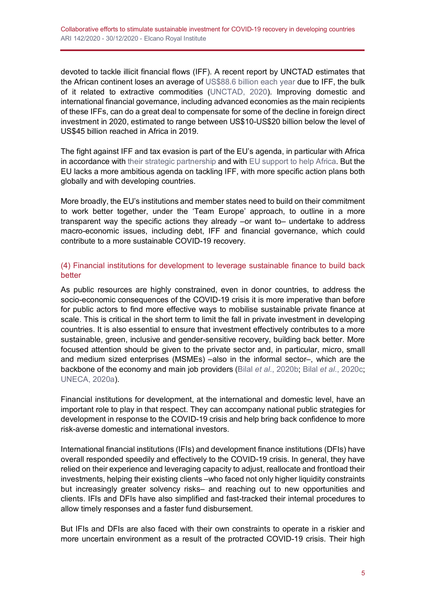devoted to tackle illicit financial flows (IFF). A recent report by UNCTAD estimates that the African continent loses an average of [US\\$88.6 billion each year](https://unctad.org/webflyer/economic-development-africa-report-2020) due to IFF, the bulk of it related to extractive commodities [\(UNCTAD, 2020\)](https://unctad.org/webflyer/economic-development-africa-report-2020). Improving domestic and international financial governance, including advanced economies as the main recipients of these IFFs, can do a great deal to compensate for some of the decline in foreign direct investment in 2020, estimated to range between US\$10-US\$20 billion below the level of US\$45 billion reached in Africa in 2019.

The fight against IFF and tax evasion is part of the EU's agenda, in particular with Africa in accordance with [their strategic partnership](https://www.consilium.europa.eu/en/press/press-releases/2020/06/30/on-the-path-to-a-deeper-and-stronger-partnership-living-up-to-the-european-and-african-aspirations-council-adopts-conclusions-on-africa/) and with [EU support to help Africa.](https://ec.europa.eu/international-partnerships/news/africa-and-europe-join-forces-fight-illicit-financial-flows-iffs-africa_en) But the EU lacks a more ambitious agenda on tackling IFF, with more specific action plans both globally and with developing countries.

More broadly, the EU's institutions and member states need to build on their commitment to work better together, under the 'Team Europe' approach, to outline in a more transparent way the specific actions they already –or want to– undertake to address macro-economic issues, including debt, IFF and financial governance, which could contribute to a more sustainable COVID-19 recovery.

## (4) Financial institutions for development to leverage sustainable finance to build back better

As public resources are highly constrained, even in donor countries, to address the socio-economic consequences of the COVID-19 crisis it is more imperative than before for public actors to find more effective ways to mobilise sustainable private finance at scale. This is critical in the short term to limit the fall in private investment in developing countries. It is also essential to ensure that investment effectively contributes to a more sustainable, green, inclusive and gender-sensitive recovery, building back better. More focused attention should be given to the private sector and, in particular, micro, small and medium sized enterprises (MSMEs) –also in the informal sector–, which are the backbone of the economy and main job providers (Bilal *et al*[., 2020b;](https://www.devex.com/news/opinion-how-can-dfis-do-more-to-help-msmes-survive-covid-19-98566) Bilal *et al*[., 2020c;](https://ecdpm.org/publications/saving-africa-private-sector-jobs-during-coronavirus-pandemic/) [UNECA, 2020a\)](https://www.uneca.org/era2020).

Financial institutions for development, at the international and domestic level, have an important role to play in that respect. They can accompany national public strategies for development in response to the COVID-19 crisis and help bring back confidence to more risk-averse domestic and international investors.

International financial institutions (IFIs) and development finance institutions (DFIs) have overall responded speedily and effectively to the COVID-19 crisis. In general, they have relied on their experience and leveraging capacity to adjust, reallocate and frontload their investments, helping their existing clients –who faced not only higher liquidity constraints but increasingly greater solvency risks– and reaching out to new opportunities and clients. IFIs and DFIs have also simplified and fast-tracked their internal procedures to allow timely responses and a faster fund disbursement.

But IFIs and DFIs are also faced with their own constraints to operate in a riskier and more uncertain environment as a result of the protracted COVID-19 crisis. Their high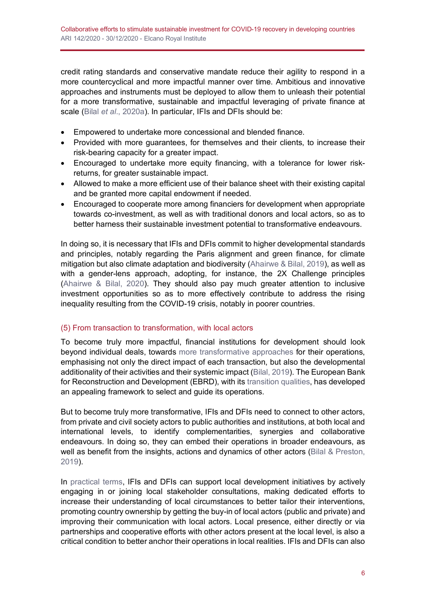credit rating standards and conservative mandate reduce their agility to respond in a more countercyclical and more impactful manner over time. Ambitious and innovative approaches and instruments must be deployed to allow them to unleash their potential for a more transformative, sustainable and impactful leveraging of private finance at scale (Bilal *et al*[., 2020a\)](https://assets.ctfassets.net/4cgqlwde6qy0/2UIDzHLqOh58RKeuHqejft/6a934d233516039a7c239014ce466b6d/THK_Report_on_Covid-19_and_Blended_Finance_21-10-2020.pdf). In particular, IFIs and DFIs should be:

- Empowered to undertake more concessional and blended finance.
- Provided with more guarantees, for themselves and their clients, to increase their risk-bearing capacity for a greater impact.
- Encouraged to undertake more equity financing, with a tolerance for lower riskreturns, for greater sustainable impact.
- Allowed to make a more efficient use of their balance sheet with their existing capital and be granted more capital endowment if needed.
- Encouraged to cooperate more among financiers for development when appropriate towards co-investment, as well as with traditional donors and local actors, so as to better harness their sustainable investment potential to transformative endeavours.

In doing so, it is necessary that IFIs and DFIs commit to higher developmental standards and principles, notably regarding the Paris alignment and green finance, for climate mitigation but also climate adaptation and biodiversity [\(Ahairwe & Bilal, 2019\)](https://ecdpm.org/publications/boosting-eu-climate-finance-mitigate-more-without-neglecting-adaptation-poorer-countries/), as well as with a gender-lens approach, adopting, for instance, the 2X Challenge principles [\(Ahairwe & Bilal, 2020\)](https://ecdpm.org/publications/gender-sensitive-sustainable-covid-19-recovery-role-development-finance-institutions/). They should also pay much greater attention to inclusive investment opportunities so as to more effectively contribute to address the rising inequality resulting from the COVID-19 crisis, notably in poorer countries.

## (5) From transaction to transformation, with local actors

To become truly more impactful, financial institutions for development should look beyond individual deals, towards [more transformative approaches](https://www.odi.org/sites/odi.org.uk/files/resource-documents/12892.pdf) for their operations, emphasising not only the direct impact of each transaction, but also the developmental additionality of their activities and their systemic impact [\(Bilal, 2019\)](https://ecdpm.org/publications/fostering-local-dimension-blended-finance-principles-practice/). The European Bank for Reconstruction and Development (EBRD), with its [transition qualities,](https://www.ebrd.com/what-we-do/economic-research-and-data/transition-impact.html) has developed an appealing framework to select and guide its operations.

But to become truly more transformative, IFIs and DFIs need to connect to other actors, from private and civil society actors to public authorities and institutions, at both local and international levels, to identify complementarities, synergies and collaborative endeavours. In doing so, they can embed their operations in broader endeavours, as well as benefit from the insights, actions and dynamics of other actors [\(Bilal & Preston,](https://acetforafrica.org/acet/wp-content/uploads/publications/2020/06/Peer-Learning-Knowledge-Document-Strengthening-Local-Dimension-of-Blended-Finance-ENGLISH_Online.pdf)  [2019\)](https://acetforafrica.org/acet/wp-content/uploads/publications/2020/06/Peer-Learning-Knowledge-Document-Strengthening-Local-Dimension-of-Blended-Finance-ENGLISH_Online.pdf).

In [practical terms,](http://www.oecd.org/dac/financing-sustainable-development/blended-finance-principles/principle-3/P3_Guidance_Note.pdf) IFIs and DFIs can support local development initiatives by actively engaging in or joining local stakeholder consultations, making dedicated efforts to increase their understanding of local circumstances to better tailor their interventions, promoting country ownership by getting the buy-in of local actors (public and private) and improving their communication with local actors. Local presence, either directly or via partnerships and cooperative efforts with other actors present at the local level, is also a critical condition to better anchor their operations in local realities. IFIs and DFIs can also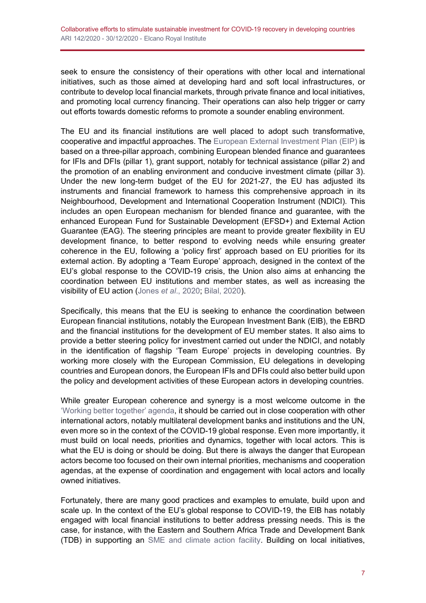seek to ensure the consistency of their operations with other local and international initiatives, such as those aimed at developing hard and soft local infrastructures, or contribute to develop local financial markets, through private finance and local initiatives, and promoting local currency financing. Their operations can also help trigger or carry out efforts towards domestic reforms to promote a sounder enabling environment.

The EU and its financial institutions are well placed to adopt such transformative, cooperative and impactful approaches. The [European External Investment Plan \(EIP\)](https://ec.europa.eu/eu-external-investment-plan/home_en) is based on a three-pillar approach, combining European blended finance and guarantees for IFIs and DFIs (pillar 1), grant support, notably for technical assistance (pillar 2) and the promotion of an enabling environment and conducive investment climate (pillar 3). Under the new long-term budget of the EU for 2021-27, the EU has adjusted its instruments and financial framework to harness this comprehensive approach in its Neighbourhood, Development and International Cooperation Instrument (NDICI). This includes an open European mechanism for blended finance and guarantee, with the enhanced European Fund for Sustainable Development (EFSD+) and External Action Guarantee (EAG). The steering principles are meant to provide greater flexibility in EU development finance, to better respond to evolving needs while ensuring greater coherence in the EU, following a 'policy first' approach based on EU priorities for its external action. By adopting a 'Team Europe' approach, designed in the context of the EU's global response to the COVID-19 crisis, the Union also aims at enhancing the coordination between EU institutions and member states, as well as increasing the visibility of EU action (Jones *et al*[., 2020;](https://ecdpm.org/publications/challenge-scaling-up-european-union-global-response-covid-19/) [Bilal, 2020\)](https://ecdpm.org/publications/towards-eu-global-covid-19-response-2-0-boosting-smarter-finance/).

Specifically, this means that the EU is seeking to enhance the coordination between European financial institutions, notably the European Investment Bank (EIB), the EBRD and the financial institutions for the development of EU member states. It also aims to provide a better steering policy for investment carried out under the NDICI, and notably in the identification of flagship 'Team Europe' projects in developing countries. By working more closely with the European Commission, EU delegations in developing countries and European donors, the European IFIs and DFIs could also better build upon the policy and development activities of these European actors in developing countries.

While greater European coherence and synergy is a most welcome outcome in the ['Working better together' agenda,](https://europa.eu/capacity4dev/joint-programming/documents/working-better-together-team-europe-through-joint-programming-and-joint-implementation) it should be carried out in close cooperation with other international actors, notably multilateral development banks and institutions and the UN, even more so in the context of the COVID-19 global response. Even more importantly, it must build on local needs, priorities and dynamics, together with local actors. This is what the EU is doing or should be doing. But there is always the danger that European actors become too focused on their own internal priorities, mechanisms and cooperation agendas, at the expense of coordination and engagement with local actors and locally owned initiatives.

Fortunately, there are many good practices and examples to emulate, build upon and scale up. In the context of the EU's global response to COVID-19, the EIB has notably engaged with local financial institutions to better address pressing needs. This is the case, for instance, with the Eastern and Southern Africa Trade and Development Bank (TDB) in supporting an [SME and climate action facility.](https://www.eib.org/en/press/all/2019-346-tdb-and-eib-deepen-their-partnership-with-a-usd-120-million-15-year-sme-and-climate-action-facility) Building on local initiatives,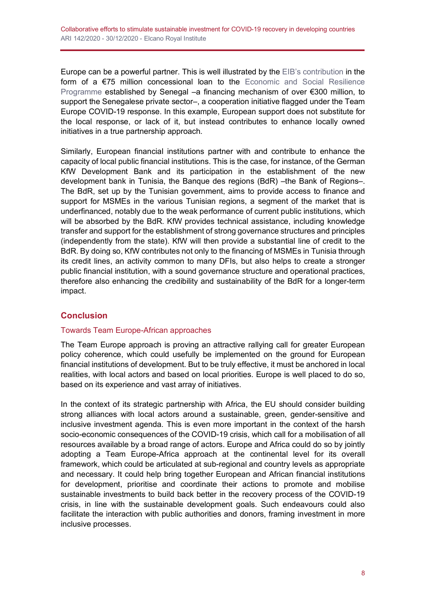Europe can be a powerful partner. This is well illustrated by the [EIB's contribution](https://www.eib.org/en/press/all/2020-204-covid-19-la-team-europe-appuie-le-secteur-prive-senegalais) in the form of a €75 million concessional loan to the [Economic and Social Resilience](https://covid19.economie.gouv.sn/)  [Programme](https://covid19.economie.gouv.sn/) established by Senegal –a financing mechanism of over €300 million, to support the Senegalese private sector–, a cooperation initiative flagged under the Team Europe COVID-19 response. In this example, European support does not substitute for the local response, or lack of it, but instead contributes to enhance locally owned initiatives in a true partnership approach.

Similarly, European financial institutions partner with and contribute to enhance the capacity of local public financial institutions. This is the case, for instance, of the German KfW Development Bank and its participation in the establishment of the new development bank in Tunisia, the Banque des regions (BdR) – the Bank of Regions–. The BdR, set up by the Tunisian government, aims to provide access to finance and support for MSMEs in the various Tunisian regions, a segment of the market that is underfinanced, notably due to the weak performance of current public institutions, which will be absorbed by the BdR. KfW provides technical assistance, including knowledge transfer and support for the establishment of strong governance structures and principles (independently from the state). KfW will then provide a substantial line of credit to the BdR. By doing so, KfW contributes not only to the financing of MSMEs in Tunisia through its credit lines, an activity common to many DFIs, but also helps to create a stronger public financial institution, with a sound governance structure and operational practices, therefore also enhancing the credibility and sustainability of the BdR for a longer-term impact.

# **Conclusion**

## Towards Team Europe-African approaches

The Team Europe approach is proving an attractive rallying call for greater European policy coherence, which could usefully be implemented on the ground for European financial institutions of development. But to be truly effective, it must be anchored in local realities, with local actors and based on local priorities. Europe is well placed to do so, based on its experience and vast array of initiatives.

In the context of its strategic partnership with Africa, the EU should consider building strong alliances with local actors around a sustainable, green, gender-sensitive and inclusive investment agenda. This is even more important in the context of the harsh socio-economic consequences of the COVID-19 crisis, which call for a mobilisation of all resources available by a broad range of actors. Europe and Africa could do so by jointly adopting a Team Europe-Africa approach at the continental level for its overall framework, which could be articulated at sub-regional and country levels as appropriate and necessary. It could help bring together European and African financial institutions for development, prioritise and coordinate their actions to promote and mobilise sustainable investments to build back better in the recovery process of the COVID-19 crisis, in line with the sustainable development goals. Such endeavours could also facilitate the interaction with public authorities and donors, framing investment in more inclusive processes.